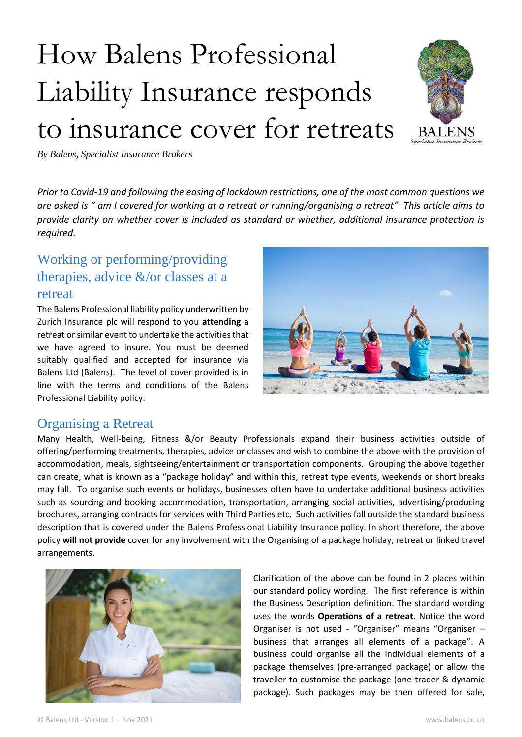# How Balens Professional Liability Insurance responds to insurance cover for retreats



*By Balens, Specialist Insurance Brokers*

*Prior to Covid-19 and following the easing of lockdown restrictions, one of the most common questions we are asked is " am I covered for working at a retreat or running/organising a retreat" This article aims to provide clarity on whether cover is included as standard or whether, additional insurance protection is required.* 

## Working or performing/providing therapies, advice &/or classes at a retreat

The Balens Professional liability policy underwritten by Zurich Insurance plc will respond to you **attending** a retreat or similar event to undertake the activities that we have agreed to insure. You must be deemed suitably qualified and accepted for insurance via Balens Ltd (Balens). The level of cover provided is in line with the terms and conditions of the Balens Professional Liability policy.



### Organising a Retreat

Many Health, Well-being, Fitness &/or Beauty Professionals expand their business activities outside of offering/performing treatments, therapies, advice or classes and wish to combine the above with the provision of accommodation, meals, sightseeing/entertainment or transportation components. Grouping the above together can create, what is known as a "package holiday" and within this, retreat type events, weekends or short breaks may fall. To organise such events or holidays, businesses often have to undertake additional business activities such as sourcing and booking accommodation, transportation, arranging social activities, advertising/producing brochures, arranging contracts for services with Third Parties etc. Such activities fall outside the standard business description that is covered under the Balens Professional Liability Insurance policy. In short therefore, the above policy **will not provide** cover for any involvement with the Organising of a package holiday, retreat or linked travel arrangements.



Clarification of the above can be found in 2 places within our standard policy wording. The first reference is within the Business Description definition. The standard wording uses the words **Operations of a retreat**. Notice the word Organiser is not used - "Organiser" means "Organiser – business that arranges all elements of a package". A business could organise all the individual elements of a package themselves (pre-arranged package) or allow the traveller to customise the package (one-trader & dynamic package). Such packages may be then offered for sale,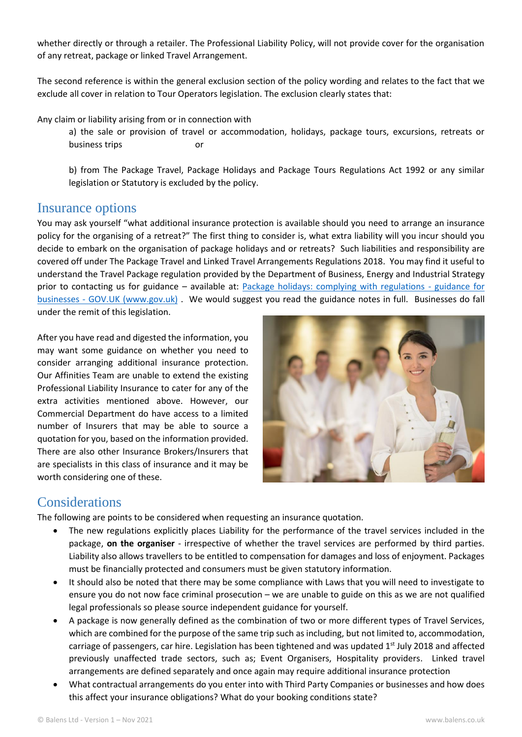whether directly or through a retailer. The Professional Liability Policy, will not provide cover for the organisation of any retreat, package or linked Travel Arrangement.

The second reference is within the general exclusion section of the policy wording and relates to the fact that we exclude all cover in relation to Tour Operators legislation. The exclusion clearly states that:

Any claim or liability arising from or in connection with

a) the sale or provision of travel or accommodation, holidays, package tours, excursions, retreats or business trips or

b) from The Package Travel, Package Holidays and Package Tours Regulations Act 1992 or any similar legislation or Statutory is excluded by the policy.

#### Insurance options

You may ask yourself "what additional insurance protection is available should you need to arrange an insurance policy for the organising of a retreat?" The first thing to consider is, what extra liability will you incur should you decide to embark on the organisation of package holidays and or retreats? Such liabilities and responsibility are covered off under The Package Travel and Linked Travel Arrangements Regulations 2018. You may find it useful to understand the Travel Package regulation provided by the Department of Business, Energy and Industrial Strategy prior to contacting us for guidance – available at: [Package holidays: complying with regulations -](https://www.gov.uk/government/publications/package-holidays-complying-with-regulations-guidance-for-businesses) guidance for businesses - [GOV.UK \(www.gov.uk\)](https://www.gov.uk/government/publications/package-holidays-complying-with-regulations-guidance-for-businesses) . We would suggest you read the guidance notes in full. Businesses do fall under the remit of this legislation.

After you have read and digested the information, you may want some guidance on whether you need to consider arranging additional insurance protection. Our Affinities Team are unable to extend the existing Professional Liability Insurance to cater for any of the extra activities mentioned above. However, our Commercial Department do have access to a limited number of Insurers that may be able to source a quotation for you, based on the information provided. There are also other Insurance Brokers/Insurers that are specialists in this class of insurance and it may be worth considering one of these.



## Considerations

The following are points to be considered when requesting an insurance quotation.

- The new regulations explicitly places Liability for the performance of the travel services included in the package, **on the organiser** - irrespective of whether the travel services are performed by third parties. Liability also allows travellers to be entitled to compensation for damages and loss of enjoyment. Packages must be financially protected and consumers must be given statutory information.
- It should also be noted that there may be some compliance with Laws that you will need to investigate to ensure you do not now face criminal prosecution – we are unable to guide on this as we are not qualified legal professionals so please source independent guidance for yourself.
- A package is now generally defined as the combination of two or more different types of Travel Services, which are combined for the purpose of the same trip such as including, but not limited to, accommodation, carriage of passengers, car hire. Legislation has been tightened and was updated 1<sup>st</sup> July 2018 and affected previously unaffected trade sectors, such as; Event Organisers, Hospitality providers. Linked travel arrangements are defined separately and once again may require additional insurance protection
- What contractual arrangements do you enter into with Third Party Companies or businesses and how does this affect your insurance obligations? What do your booking conditions state?